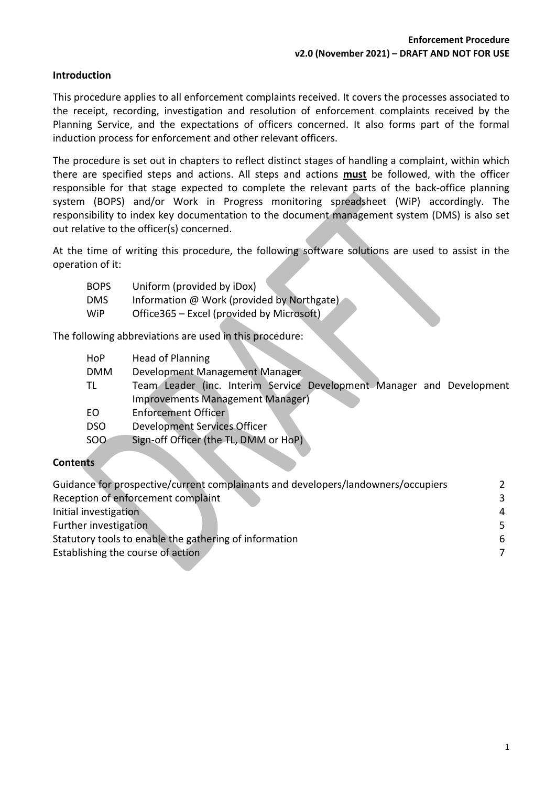# **Introduction**

This procedure applies to all enforcement complaints received. It covers the processes associated to the receipt, recording, investigation and resolution of enforcement complaints received by the Planning Service, and the expectations of officers concerned. It also forms part of the formal induction process for enforcement and other relevant officers.

The procedure is set out in chapters to reflect distinct stages of handling a complaint, within which there are specified steps and actions. All steps and actions **must** be followed, with the officer responsible for that stage expected to complete the relevant parts of the back-office planning system (BOPS) and/or Work in Progress monitoring spreadsheet (WiP) accordingly. The responsibility to index key documentation to the document management system (DMS) is also set out relative to the officer(s) concerned.

At the time of writing this procedure, the following software solutions are used to assist in the operation of it:

| <b>BOPS</b> | Uniform (provided by iDox)                 |
|-------------|--------------------------------------------|
| <b>DMS</b>  | Information @ Work (provided by Northgate) |
| <b>WiP</b>  | Office365 - Excel (provided by Microsoft)  |

The following abbreviations are used in this procedure:

| HoP              | Head of Planning                                                      |
|------------------|-----------------------------------------------------------------------|
| <b>DMM</b>       | Development Management Manager                                        |
| TL               | Team Leader (inc. Interim Service Development Manager and Development |
|                  | <b>Improvements Management Manager)</b>                               |
| EO               | <b>Enforcement Officer</b>                                            |
| <b>DSO</b>       | Development Services Officer                                          |
| SOO <sup>-</sup> | Sign-off Officer (the TL, DMM or HoP)                                 |

# **Contents**

| Guidance for prospective/current complainants and developers/landowners/occupiers | $\mathcal{L}$ |
|-----------------------------------------------------------------------------------|---------------|
| Reception of enforcement complaint                                                | 3             |
| Initial investigation                                                             | 4             |
| Further investigation                                                             | -5            |
| Statutory tools to enable the gathering of information                            | 6             |
| Establishing the course of action                                                 | $\mathcal{L}$ |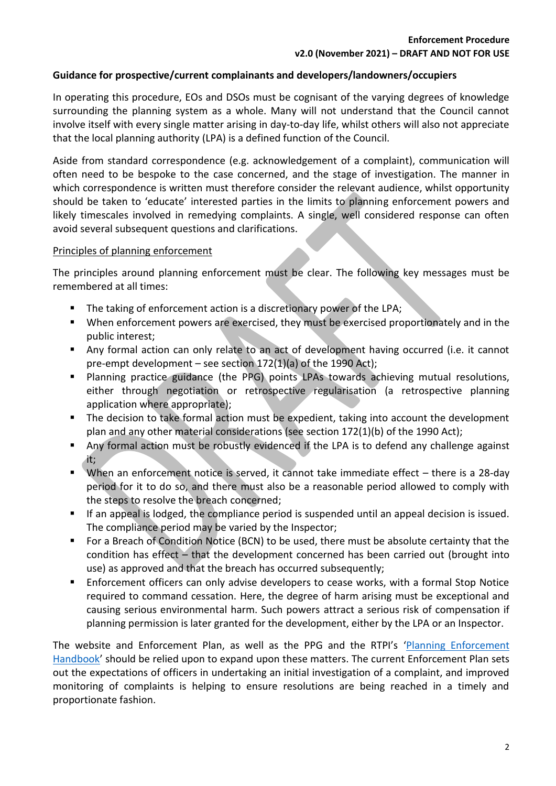# **Guidance for prospective/current complainants and developers/landowners/occupiers**

In operating this procedure, EOs and DSOs must be cognisant of the varying degrees of knowledge surrounding the planning system as a whole. Many will not understand that the Council cannot involve itself with every single matter arising in day-to-day life, whilst others will also not appreciate that the local planning authority (LPA) is a defined function of the Council.

Aside from standard correspondence (e.g. acknowledgement of a complaint), communication will often need to be bespoke to the case concerned, and the stage of investigation. The manner in which correspondence is written must therefore consider the relevant audience, whilst opportunity should be taken to 'educate' interested parties in the limits to planning enforcement powers and likely timescales involved in remedying complaints. A single, well considered response can often avoid several subsequent questions and clarifications.

#### Principles of planning enforcement

The principles around planning enforcement must be clear. The following key messages must be remembered at all times:

- The taking of enforcement action is a discretionary power of the LPA;
- When enforcement powers are exercised, they must be exercised proportionately and in the public interest;
- Any formal action can only relate to an act of development having occurred (i.e. it cannot pre-empt development – see section 172(1)(a) of the 1990 Act);
- Planning practice guidance (the PPG) points LPAs towards achieving mutual resolutions, either through negotiation or retrospective regularisation (a retrospective planning application where appropriate);
- The decision to take formal action must be expedient, taking into account the development plan and any other material considerations (see section 172(1)(b) of the 1990 Act);
- Any formal action must be robustly evidenced if the LPA is to defend any challenge against it;
- When an enforcement notice is served, it cannot take immediate effect there is a 28-day period for it to do so, and there must also be a reasonable period allowed to comply with the steps to resolve the breach concerned;
- If an appeal is lodged, the compliance period is suspended until an appeal decision is issued. The compliance period may be varied by the Inspector;
- For a Breach of Condition Notice (BCN) to be used, there must be absolute certainty that the condition has effect – that the development concerned has been carried out (brought into use) as approved and that the breach has occurred subsequently;
- Enforcement officers can only advise developers to cease works, with a formal Stop Notice required to command cessation. Here, the degree of harm arising must be exceptional and causing serious environmental harm. Such powers attract a serious risk of compensation if planning permission is later granted for the development, either by the LPA or an Inspector.

The website and Enforcement Plan, as well as the PPG and the RTPI's '[Planning Enforcement](https://www.rtpi.org.uk/media/5306/planning-enforcement-handbook-for-england-final.pdf)  [Handbook](https://www.rtpi.org.uk/media/5306/planning-enforcement-handbook-for-england-final.pdf)' should be relied upon to expand upon these matters. The current Enforcement Plan sets out the expectations of officers in undertaking an initial investigation of a complaint, and improved monitoring of complaints is helping to ensure resolutions are being reached in a timely and proportionate fashion.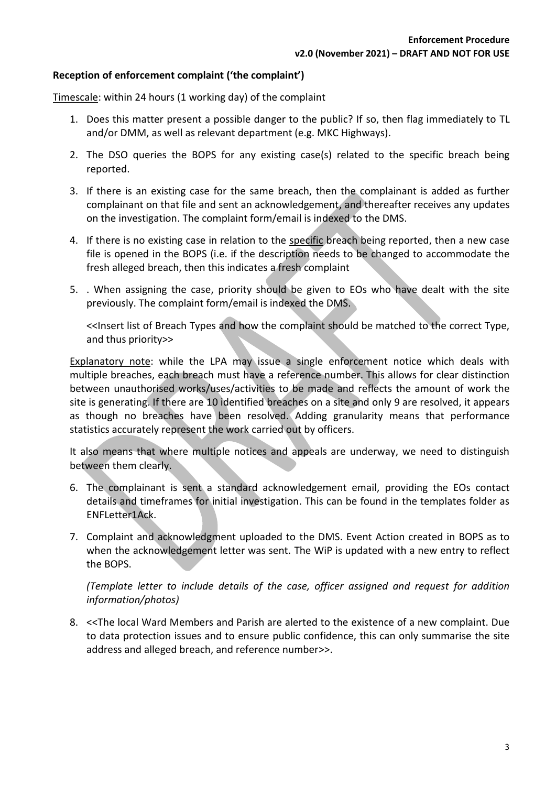# **Reception of enforcement complaint ('the complaint')**

Timescale: within 24 hours (1 working day) of the complaint

- 1. Does this matter present a possible danger to the public? If so, then flag immediately to TL and/or DMM, as well as relevant department (e.g. MKC Highways).
- 2. The DSO queries the BOPS for any existing case(s) related to the specific breach being reported.
- 3. If there is an existing case for the same breach, then the complainant is added as further complainant on that file and sent an acknowledgement, and thereafter receives any updates on the investigation. The complaint form/email is indexed to the DMS.
- 4. If there is no existing case in relation to the specific breach being reported, then a new case file is opened in the BOPS (i.e. if the description needs to be changed to accommodate the fresh alleged breach, then this indicates a fresh complaint
- 5. . When assigning the case, priority should be given to EOs who have dealt with the site previously. The complaint form/email is indexed the DMS.

<<Insert list of Breach Types and how the complaint should be matched to the correct Type, and thus priority>>

Explanatory note: while the LPA may issue a single enforcement notice which deals with multiple breaches, each breach must have a reference number. This allows for clear distinction between unauthorised works/uses/activities to be made and reflects the amount of work the site is generating. If there are 10 identified breaches on a site and only 9 are resolved, it appears as though no breaches have been resolved. Adding granularity means that performance statistics accurately represent the work carried out by officers.

It also means that where multiple notices and appeals are underway, we need to distinguish between them clearly.

- 6. The complainant is sent a standard acknowledgement email, providing the EOs contact details and timeframes for initial investigation. This can be found in the templates folder as ENFLetter1Ack.
- 7. Complaint and acknowledgment uploaded to the DMS. Event Action created in BOPS as to when the acknowledgement letter was sent. The WiP is updated with a new entry to reflect the BOPS.

*(Template letter to include details of the case, officer assigned and request for addition information/photos)* 

8. <<The local Ward Members and Parish are alerted to the existence of a new complaint. Due to data protection issues and to ensure public confidence, this can only summarise the site address and alleged breach, and reference number>>.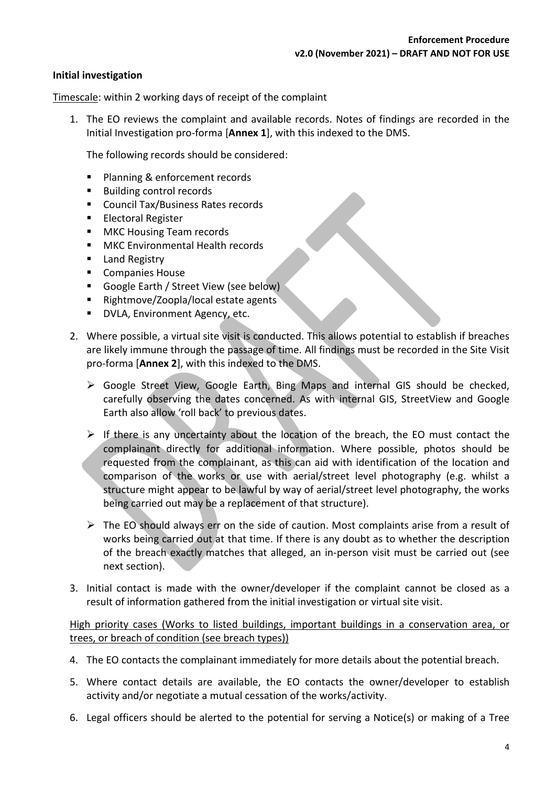# **Initial investigation**

Timescale: within 2 working days of receipt of the complaint

1. The EO reviews the complaint and available records. Notes of findings are recorded in the Initial Investigation pro-forma [**Annex 1**], with this indexed to the DMS.

The following records should be considered:

- Planning & enforcement records
- Building control records
- Council Tax/Business Rates records
- Electoral Register
- MKC Housing Team records
- MKC Environmental Health records
- Land Registry
- **Companies House**
- Google Earth / Street View (see below)
- Rightmove/Zoopla/local estate agents
- DVLA, Environment Agency, etc.
- 2. Where possible, a virtual site visit is conducted. This allows potential to establish if breaches are likely immune through the passage of time. All findings must be recorded in the Site Visit pro-forma [**Annex 2**], with this indexed to the DMS.
	- ➢ Google Street View, Google Earth, Bing Maps and internal GIS should be checked, carefully observing the dates concerned. As with internal GIS, StreetView and Google Earth also allow 'roll back' to previous dates.
	- $\triangleright$  If there is any uncertainty about the location of the breach, the EO must contact the complainant directly for additional information. Where possible, photos should be requested from the complainant, as this can aid with identification of the location and comparison of the works or use with aerial/street level photography (e.g. whilst a structure might appear to be lawful by way of aerial/street level photography, the works being carried out may be a replacement of that structure).
	- ➢ The EO should always err on the side of caution. Most complaints arise from a result of works being carried out at that time. If there is any doubt as to whether the description of the breach exactly matches that alleged, an in-person visit must be carried out (see next section).
- 3. Initial contact is made with the owner/developer if the complaint cannot be closed as a result of information gathered from the initial investigation or virtual site visit.

High priority cases (Works to listed buildings, important buildings in a conservation area, or trees, or breach of condition (see breach types))

- 4. The EO contacts the complainant immediately for more details about the potential breach.
- 5. Where contact details are available, the EO contacts the owner/developer to establish activity and/or negotiate a mutual cessation of the works/activity.
- 6. Legal officers should be alerted to the potential for serving a Notice(s) or making of a Tree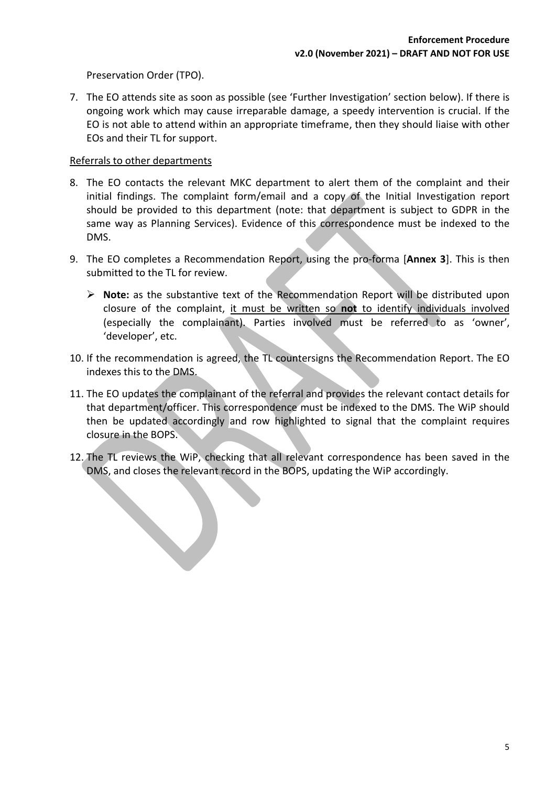Preservation Order (TPO).

7. The EO attends site as soon as possible (see 'Further Investigation' section below). If there is ongoing work which may cause irreparable damage, a speedy intervention is crucial. If the EO is not able to attend within an appropriate timeframe, then they should liaise with other EOs and their TL for support.

## Referrals to other departments

- 8. The EO contacts the relevant MKC department to alert them of the complaint and their initial findings. The complaint form/email and a copy of the Initial Investigation report should be provided to this department (note: that department is subject to GDPR in the same way as Planning Services). Evidence of this correspondence must be indexed to the DMS.
- 9. The EO completes a Recommendation Report, using the pro-forma [**Annex 3**]. This is then submitted to the TL for review.
	- ➢ **Note:** as the substantive text of the Recommendation Report will be distributed upon closure of the complaint, it must be written so **not** to identify individuals involved (especially the complainant). Parties involved must be referred to as 'owner', 'developer', etc.
- 10. If the recommendation is agreed, the TL countersigns the Recommendation Report. The EO indexes this to the DMS.
- 11. The EO updates the complainant of the referral and provides the relevant contact details for that department/officer. This correspondence must be indexed to the DMS. The WiP should then be updated accordingly and row highlighted to signal that the complaint requires closure in the BOPS.
- 12. The TL reviews the WiP, checking that all relevant correspondence has been saved in the DMS, and closes the relevant record in the BOPS, updating the WiP accordingly.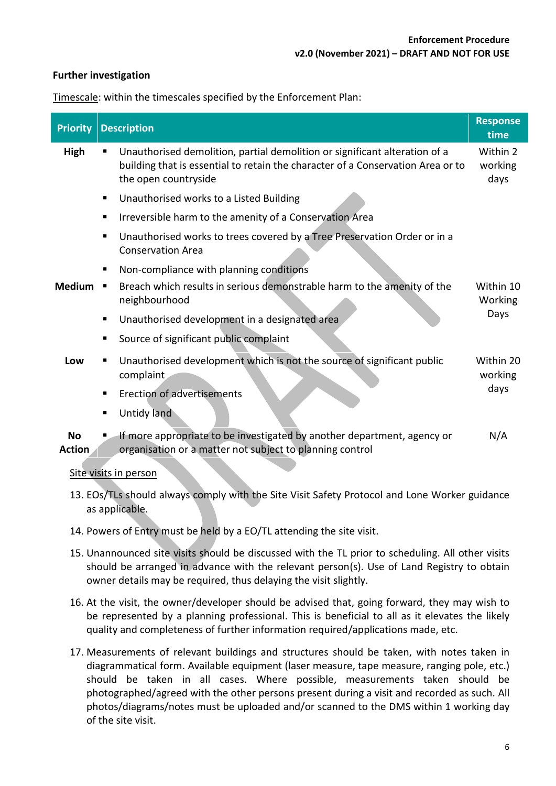#### **Further investigation**

| <b>Priority</b>            | <b>Description</b>                                                                                                                                                                         | <b>Response</b><br>time      |
|----------------------------|--------------------------------------------------------------------------------------------------------------------------------------------------------------------------------------------|------------------------------|
| High                       | Unauthorised demolition, partial demolition or significant alteration of a<br>٠<br>building that is essential to retain the character of a Conservation Area or to<br>the open countryside | Within 2<br>working<br>days  |
|                            | Unauthorised works to a Listed Building<br>٠                                                                                                                                               |                              |
|                            | Irreversible harm to the amenity of a Conservation Area<br>п                                                                                                                               |                              |
|                            | Unauthorised works to trees covered by a Tree Preservation Order or in a<br>٠<br><b>Conservation Area</b>                                                                                  |                              |
|                            | Non-compliance with planning conditions<br>п                                                                                                                                               |                              |
| <b>Medium</b>              | Breach which results in serious demonstrable harm to the amenity of the<br>٠<br>neighbourhood                                                                                              | Within 10<br>Working<br>Days |
|                            | Unauthorised development in a designated area<br>٠                                                                                                                                         |                              |
|                            | Source of significant public complaint<br>٠                                                                                                                                                |                              |
| Low                        | Unauthorised development which is not the source of significant public<br>ш<br>complaint                                                                                                   | Within 20<br>working         |
|                            | <b>Erection of advertisements</b><br>٠                                                                                                                                                     | days                         |
|                            | Untidy land<br>٠                                                                                                                                                                           |                              |
| <b>No</b><br><b>Action</b> | If more appropriate to be investigated by another department, agency or<br>ш<br>organisation or a matter not subject to planning control                                                   | N/A                          |

Timescale: within the timescales specified by the Enforcement Plan:

# Site visits in person

- 13. EOs/TLs should always comply with the Site Visit Safety Protocol and Lone Worker guidance as applicable.
- 14. Powers of Entry must be held by a EO/TL attending the site visit.
- 15. Unannounced site visits should be discussed with the TL prior to scheduling. All other visits should be arranged in advance with the relevant person(s). Use of Land Registry to obtain owner details may be required, thus delaying the visit slightly.
- 16. At the visit, the owner/developer should be advised that, going forward, they may wish to be represented by a planning professional. This is beneficial to all as it elevates the likely quality and completeness of further information required/applications made, etc.
- 17. Measurements of relevant buildings and structures should be taken, with notes taken in diagrammatical form. Available equipment (laser measure, tape measure, ranging pole, etc.) should be taken in all cases. Where possible, measurements taken should be photographed/agreed with the other persons present during a visit and recorded as such. All photos/diagrams/notes must be uploaded and/or scanned to the DMS within 1 working day of the site visit.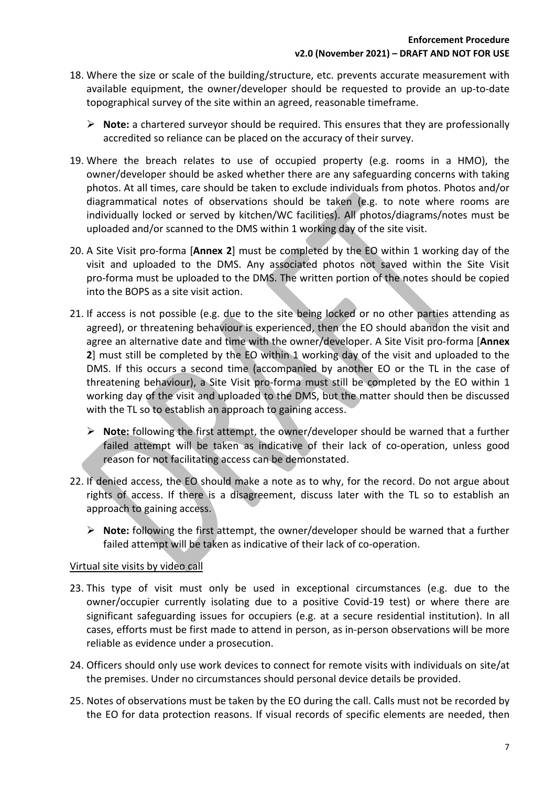- 18. Where the size or scale of the building/structure, etc. prevents accurate measurement with available equipment, the owner/developer should be requested to provide an up-to-date topographical survey of the site within an agreed, reasonable timeframe.
	- ➢ **Note:** a chartered surveyor should be required. This ensures that they are professionally accredited so reliance can be placed on the accuracy of their survey.
- 19. Where the breach relates to use of occupied property (e.g. rooms in a HMO), the owner/developer should be asked whether there are any safeguarding concerns with taking photos. At all times, care should be taken to exclude individuals from photos. Photos and/or diagrammatical notes of observations should be taken (e.g. to note where rooms are individually locked or served by kitchen/WC facilities). All photos/diagrams/notes must be uploaded and/or scanned to the DMS within 1 working day of the site visit.
- 20. A Site Visit pro-forma [**Annex 2**] must be completed by the EO within 1 working day of the visit and uploaded to the DMS. Any associated photos not saved within the Site Visit pro-forma must be uploaded to the DMS. The written portion of the notes should be copied into the BOPS as a site visit action.
- 21. If access is not possible (e.g. due to the site being locked or no other parties attending as agreed), or threatening behaviour is experienced, then the EO should abandon the visit and agree an alternative date and time with the owner/developer. A Site Visit pro-forma [**Annex 2**] must still be completed by the EO within 1 working day of the visit and uploaded to the DMS. If this occurs a second time (accompanied by another EO or the TL in the case of threatening behaviour), a Site Visit pro-forma must still be completed by the EO within 1 working day of the visit and uploaded to the DMS, but the matter should then be discussed with the TL so to establish an approach to gaining access.
	- ➢ **Note:** following the first attempt, the owner/developer should be warned that a further failed attempt will be taken as indicative of their lack of co-operation, unless good reason for not facilitating access can be demonstated.
- 22. If denied access, the EO should make a note as to why, for the record. Do not argue about rights of access. If there is a disagreement, discuss later with the TL so to establish an approach to gaining access.
	- ➢ **Note:** following the first attempt, the owner/developer should be warned that a further failed attempt will be taken as indicative of their lack of co-operation.

# Virtual site visits by video call

- 23. This type of visit must only be used in exceptional circumstances (e.g. due to the owner/occupier currently isolating due to a positive Covid-19 test) or where there are significant safeguarding issues for occupiers (e.g. at a secure residential institution). In all cases, efforts must be first made to attend in person, as in-person observations will be more reliable as evidence under a prosecution.
- 24. Officers should only use work devices to connect for remote visits with individuals on site/at the premises. Under no circumstances should personal device details be provided.
- 25. Notes of observations must be taken by the EO during the call. Calls must not be recorded by the EO for data protection reasons. If visual records of specific elements are needed, then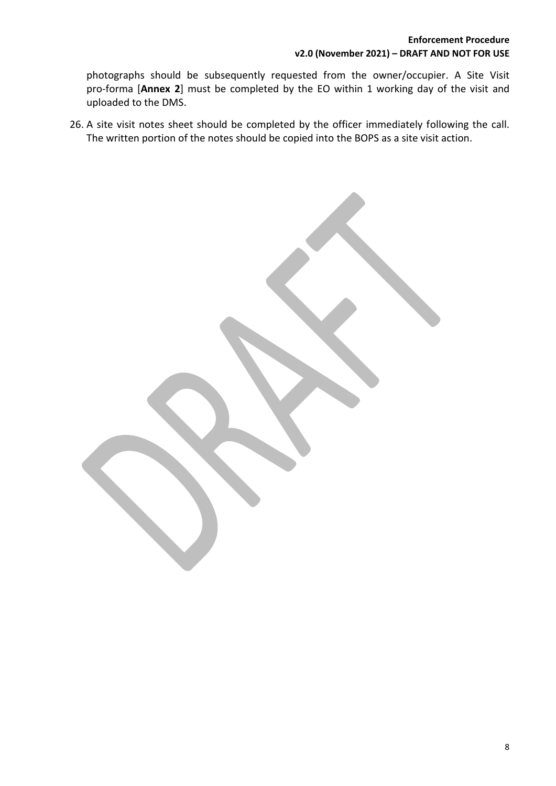photographs should be subsequently requested from the owner/occupier. A Site Visit pro-forma [**Annex 2**] must be completed by the EO within 1 working day of the visit and uploaded to the DMS.

26. A site visit notes sheet should be completed by the officer immediately following the call. The written portion of the notes should be copied into the BOPS as a site visit action.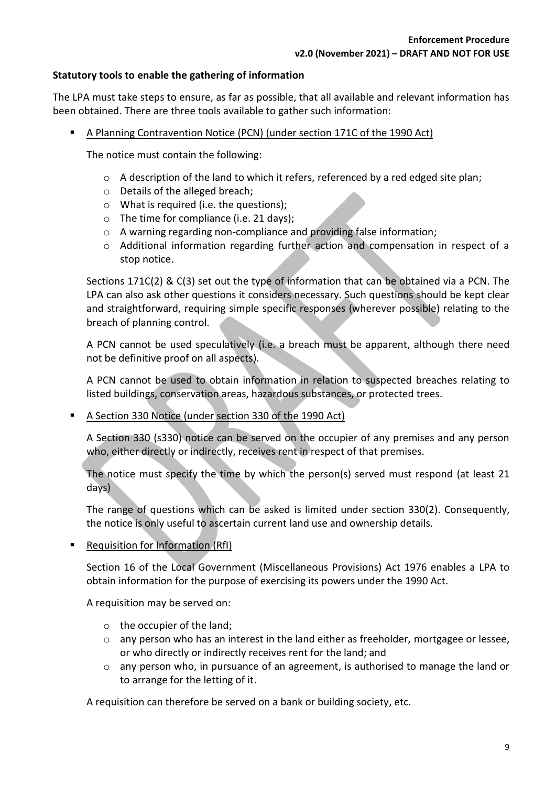# **Statutory tools to enable the gathering of information**

The LPA must take steps to ensure, as far as possible, that all available and relevant information has been obtained. There are three tools available to gather such information:

A Planning Contravention Notice (PCN) (under section 171C of the 1990 Act)

The notice must contain the following:

- o A description of the land to which it refers, referenced by a red edged site plan;
- o Details of the alleged breach;
- o What is required (i.e. the questions);
- o The time for compliance (i.e. 21 days);
- o A warning regarding non-compliance and providing false information;
- o Additional information regarding further action and compensation in respect of a stop notice.

Sections 171C(2) & C(3) set out the type of information that can be obtained via a PCN. The LPA can also ask other questions it considers necessary. Such questions should be kept clear and straightforward, requiring simple specific responses (wherever possible) relating to the breach of planning control.

A PCN cannot be used speculatively (i.e. a breach must be apparent, although there need not be definitive proof on all aspects).

A PCN cannot be used to obtain information in relation to suspected breaches relating to listed buildings, conservation areas, hazardous substances, or protected trees.

A Section 330 Notice (under section 330 of the 1990 Act)

A Section 330 (s330) notice can be served on the occupier of any premises and any person who, either directly or indirectly, receives rent in respect of that premises.

The notice must specify the time by which the person(s) served must respond (at least 21 days)

The range of questions which can be asked is limited under section 330(2). Consequently, the notice is only useful to ascertain current land use and ownership details.

■ Requisition for Information (RfI)

Section 16 of the Local Government (Miscellaneous Provisions) Act 1976 enables a LPA to obtain information for the purpose of exercising its powers under the 1990 Act.

A requisition may be served on:

- o the occupier of the land;
- $\circ$  any person who has an interest in the land either as freeholder, mortgagee or lessee, or who directly or indirectly receives rent for the land; and
- $\circ$  any person who, in pursuance of an agreement, is authorised to manage the land or to arrange for the letting of it.

A requisition can therefore be served on a bank or building society, etc.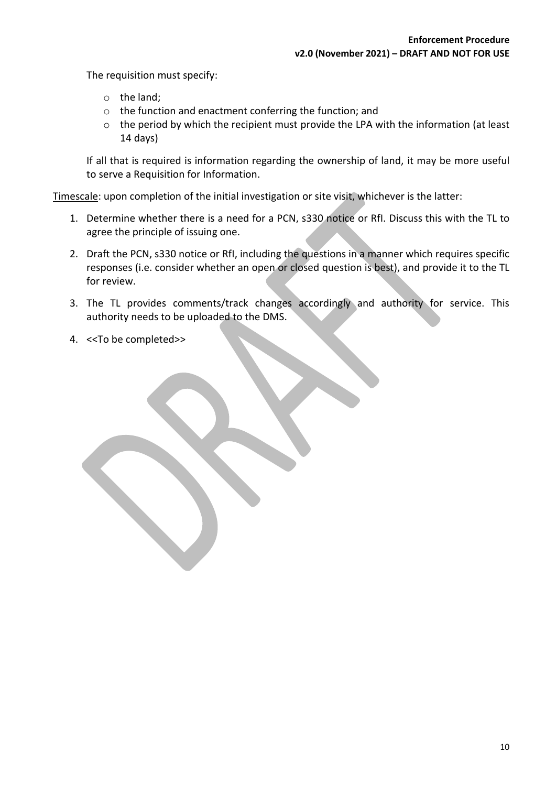The requisition must specify:

- o the land;
- o the function and enactment conferring the function; and
- o the period by which the recipient must provide the LPA with the information (at least 14 days)

If all that is required is information regarding the ownership of land, it may be more useful to serve a Requisition for Information.

Timescale: upon completion of the initial investigation or site visit, whichever is the latter:

- 1. Determine whether there is a need for a PCN, s330 notice or RfI. Discuss this with the TL to agree the principle of issuing one.
- 2. Draft the PCN, s330 notice or RfI, including the questions in a manner which requires specific responses (i.e. consider whether an open or closed question is best), and provide it to the TL for review.
- 3. The TL provides comments/track changes accordingly and authority for service. This authority needs to be uploaded to the DMS.
- 4. <<To be completed>>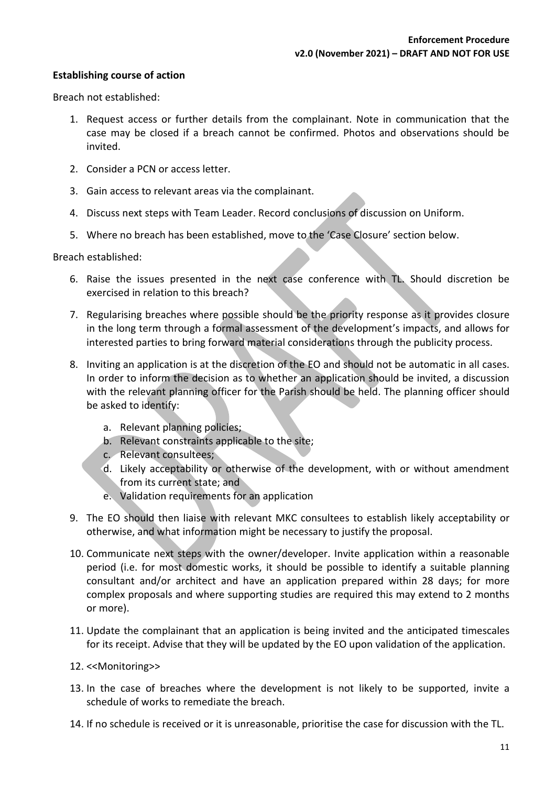## **Establishing course of action**

Breach not established:

- 1. Request access or further details from the complainant. Note in communication that the case may be closed if a breach cannot be confirmed. Photos and observations should be invited.
- 2. Consider a PCN or access letter.
- 3. Gain access to relevant areas via the complainant.
- 4. Discuss next steps with Team Leader. Record conclusions of discussion on Uniform.
- 5. Where no breach has been established, move to the 'Case Closure' section below.

Breach established:

- 6. Raise the issues presented in the next case conference with TL. Should discretion be exercised in relation to this breach?
- 7. Regularising breaches where possible should be the priority response as it provides closure in the long term through a formal assessment of the development's impacts, and allows for interested parties to bring forward material considerations through the publicity process.
- 8. Inviting an application is at the discretion of the EO and should not be automatic in all cases. In order to inform the decision as to whether an application should be invited, a discussion with the relevant planning officer for the Parish should be held. The planning officer should be asked to identify:
	- a. Relevant planning policies;
	- b. Relevant constraints applicable to the site;
	- c. Relevant consultees;
	- d. Likely acceptability or otherwise of the development, with or without amendment from its current state; and
	- e. Validation requirements for an application
- 9. The EO should then liaise with relevant MKC consultees to establish likely acceptability or otherwise, and what information might be necessary to justify the proposal.
- 10. Communicate next steps with the owner/developer. Invite application within a reasonable period (i.e. for most domestic works, it should be possible to identify a suitable planning consultant and/or architect and have an application prepared within 28 days; for more complex proposals and where supporting studies are required this may extend to 2 months or more).
- 11. Update the complainant that an application is being invited and the anticipated timescales for its receipt. Advise that they will be updated by the EO upon validation of the application.
- 12. <<Monitoring>>
- 13. In the case of breaches where the development is not likely to be supported, invite a schedule of works to remediate the breach.
- 14. If no schedule is received or it is unreasonable, prioritise the case for discussion with the TL.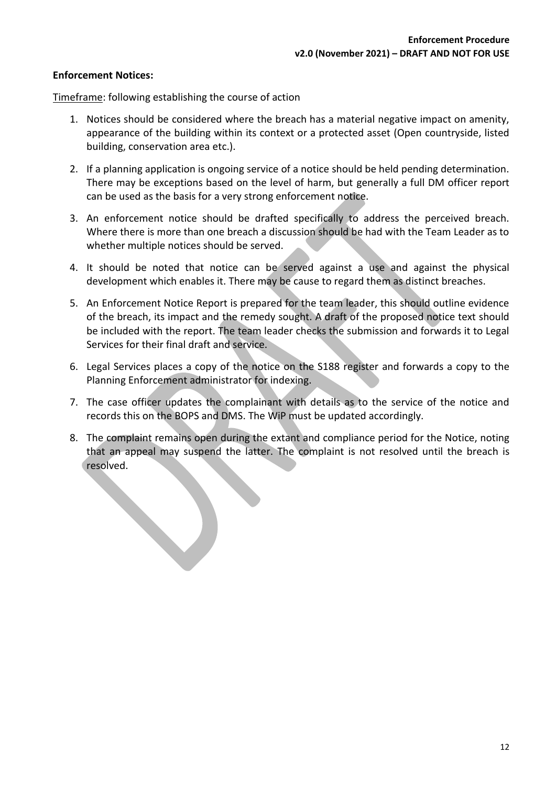# **Enforcement Notices:**

Timeframe: following establishing the course of action

- 1. Notices should be considered where the breach has a material negative impact on amenity, appearance of the building within its context or a protected asset (Open countryside, listed building, conservation area etc.).
- 2. If a planning application is ongoing service of a notice should be held pending determination. There may be exceptions based on the level of harm, but generally a full DM officer report can be used as the basis for a very strong enforcement notice.
- 3. An enforcement notice should be drafted specifically to address the perceived breach. Where there is more than one breach a discussion should be had with the Team Leader as to whether multiple notices should be served.
- 4. It should be noted that notice can be served against a use and against the physical development which enables it. There may be cause to regard them as distinct breaches.
- 5. An Enforcement Notice Report is prepared for the team leader, this should outline evidence of the breach, its impact and the remedy sought. A draft of the proposed notice text should be included with the report. The team leader checks the submission and forwards it to Legal Services for their final draft and service.
- 6. Legal Services places a copy of the notice on the S188 register and forwards a copy to the Planning Enforcement administrator for indexing.
- 7. The case officer updates the complainant with details as to the service of the notice and records this on the BOPS and DMS. The WiP must be updated accordingly.
- 8. The complaint remains open during the extant and compliance period for the Notice, noting that an appeal may suspend the latter. The complaint is not resolved until the breach is resolved.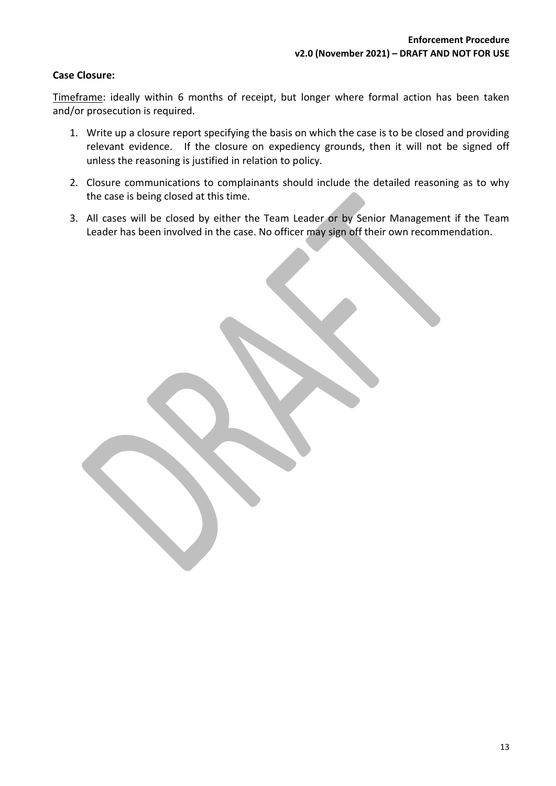# **Case Closure:**

Timeframe: ideally within 6 months of receipt, but longer where formal action has been taken and/or prosecution is required.

- 1. Write up a closure report specifying the basis on which the case is to be closed and providing relevant evidence. If the closure on expediency grounds, then it will not be signed off unless the reasoning is justified in relation to policy.
- 2. Closure communications to complainants should include the detailed reasoning as to why the case is being closed at this time.
- 3. All cases will be closed by either the Team Leader or by Senior Management if the Team Leader has been involved in the case. No officer may sign off their own recommendation.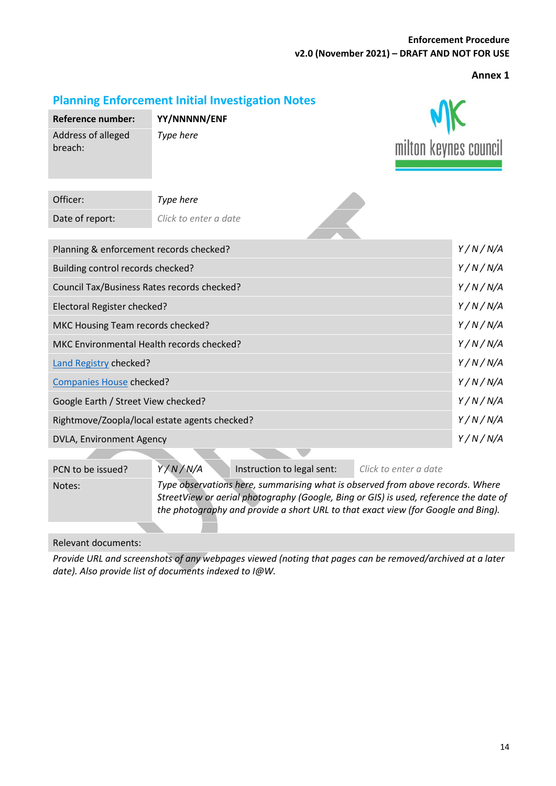**Annex 1**

|                                             | <b>Planning Enforcement Initial Investigation Notes</b>                                                                                                                 |                       |
|---------------------------------------------|-------------------------------------------------------------------------------------------------------------------------------------------------------------------------|-----------------------|
| <b>Reference number:</b>                    | YY/NNNNN/ENF                                                                                                                                                            |                       |
| Address of alleged<br>breach:               | Type here                                                                                                                                                               | milton keynes council |
|                                             |                                                                                                                                                                         |                       |
| Officer:                                    | Type here                                                                                                                                                               |                       |
| Date of report:                             | Click to enter a date                                                                                                                                                   |                       |
| Planning & enforcement records checked?     |                                                                                                                                                                         | Y/N/N/A               |
| Building control records checked?           |                                                                                                                                                                         | Y/N/N/A               |
| Council Tax/Business Rates records checked? |                                                                                                                                                                         | Y/N/N/A               |
| Electoral Register checked?                 |                                                                                                                                                                         | Y/N/N/A               |
| MKC Housing Team records checked?           |                                                                                                                                                                         | Y/N/N/A               |
| MKC Environmental Health records checked?   |                                                                                                                                                                         | Y/N/N/A               |
| <b>Land Registry checked?</b>               |                                                                                                                                                                         | Y/N/N/A               |
| <b>Companies House checked?</b>             |                                                                                                                                                                         | Y/N/N/A               |
| Google Earth / Street View checked?         |                                                                                                                                                                         | Y/N/N/A               |
|                                             | Rightmove/Zoopla/local estate agents checked?                                                                                                                           | Y/N/N/A               |
| DVLA, Environment Agency                    |                                                                                                                                                                         | Y/N/N/A               |
| PCN to be issued?                           | Y/N/N/A<br>Instruction to legal sent:<br>Click to enter a date                                                                                                          |                       |
|                                             |                                                                                                                                                                         |                       |
| Notes:                                      | Type observations here, summarising what is observed from above records. Where<br>StreetView or aerial photography (Google, Bing or GIS) is used, reference the date of |                       |
|                                             | the photography and provide a short URL to that exact view (for Google and Bing).                                                                                       |                       |

Relevant documents:

*Provide URL and screenshots of any webpages viewed (noting that pages can be removed/archived at a later date). Also provide list of documents indexed to I@W.*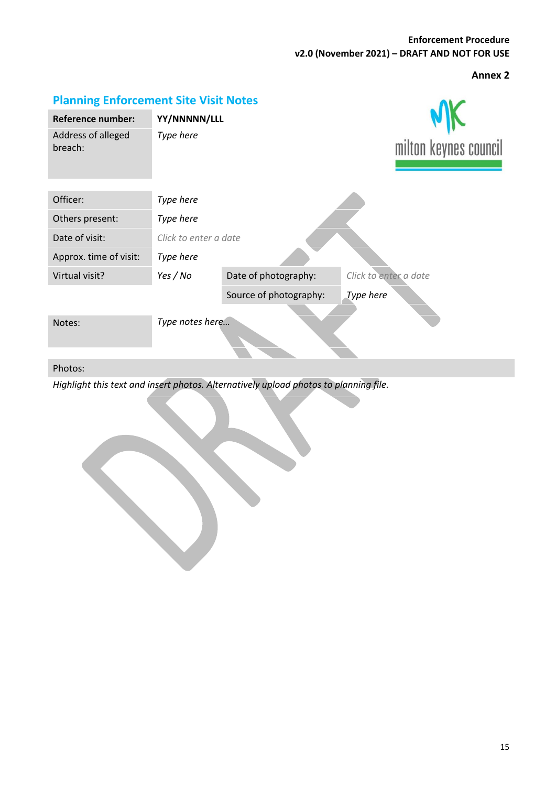**Annex 2**

# **Planning Enforcement Site Visit Notes Reference number: YY/NNNNN/LLL** Address of alleged *Type here* milton keynes council breach: Officer: *Type here* Others present: *Type here* Date of visit: *Click to enter a date* Approx. time of visit: *Type here* Virtual visit? *Yes / No* Date of photography: *Click to enter a date* Source of photography: *Type here* Notes: *Type notes here…* Photos: *Highlight this text and insert photos. Alternatively upload photos to planning file.*